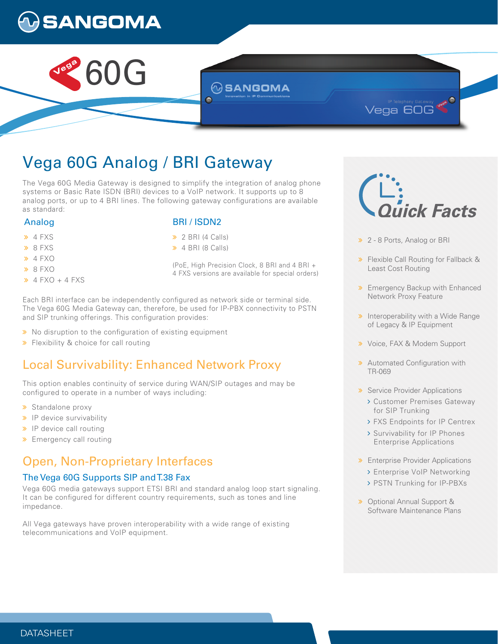# SANGOMA



 $\odot$ SANGOMA

# Vega 60G Analog / BRI Gateway

The Vega 60G Media Gateway is designed to simplify the integration of analog phone systems or Basic Rate ISDN (BRI) devices to a VoIP network. It supports up to 8 analog ports, or up to 4 BRI lines. The following gateway configurations are available as standard:

#### Analog

- $\rightarrow$  4 FXS
- > 8 FXS
- $\rightarrow$  4 FXO
- 8 FXO
- $\rightarrow$  4 FXO + 4 FXS

### BRI / ISDN2

- $\geq$  2 BRI (4 Calls)
- $\rightarrow$  4 BRI (8 Calls)

(PoE, High Precision Clock, 8 BRI and 4 BRI + 4 FXS versions are available for special orders)

Each BRI interface can be independently configured as network side or terminal side. The Vega 60G Media Gateway can, therefore, be used for IP-PBX connectivity to PSTN and SIP trunking offerings. This configuration provides:

- > No disruption to the configuration of existing equipment
- **>** Flexibility & choice for call routing

# Local Survivability: Enhanced Network Proxy

This option enables continuity of service during WAN/SIP outages and may be configured to operate in a number of ways including:

- > Standalone proxy
- $\triangleright$  IP device survivability
- $\triangleright$  IP device call routing
- **>>** Emergency call routing

# Open, Non-Proprietary Interfaces

### The Vega 60G Supports SIP and T.38 Fax

Vega 60G media gateways support ETSI BRI and standard analog loop start signaling. It can be configured for different country requirements, such as tones and line impedance.

All Vega gateways have proven interoperability with a wide range of existing telecommunications and VoIP equipment.

;<br>.ick Facts

2 - 8 Ports, Analog or BRI

Vega 60G

- **>> Flexible Call Routing for Fallback &** Least Cost Routing
- **Emergency Backup with Enhanced** Network Proxy Feature
- **»** Interoperability with a Wide Range of Legacy & IP Equipment
- **»** Voice, FAX & Modem Support
- > Automated Configuration with TR-069
- **»** Service Provider Applications
	- Customer Premises Gateway for SIP Trunking
	- FXS Endpoints for IP Centrex
	- > Survivability for IP Phones Enterprise Applications
- **»** Enterprise Provider Applications
	- Enterprise VoIP Networking
	- PSTN Trunking for IP-PBXs
- Optional Annual Support & Software Maintenance Plans